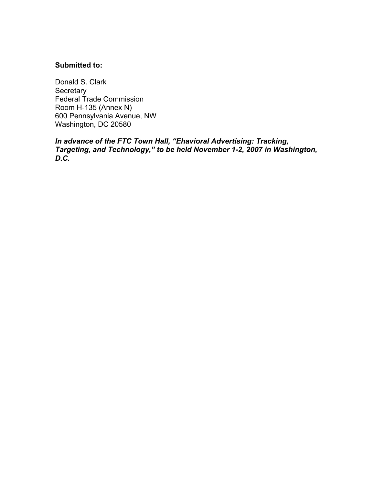## **Submitted to:**

Donald S. Clark **Secretary** Federal Trade Commission Room H-135 (Annex N) 600 Pennsylvania Avenue, NW Washington, DC 20580

*In advance of the FTC Town Hall, "Ehavioral Advertising: Tracking, Targeting, and Technology," to be held November 1-2, 2007 in Washington, D.C.*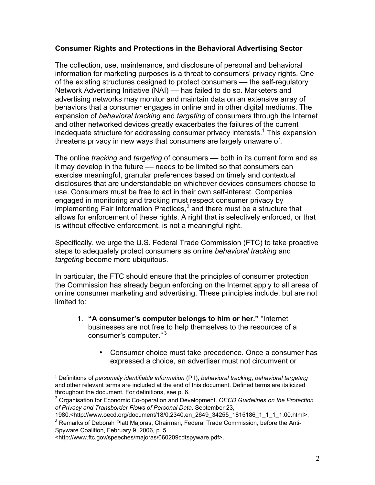# **Consumer Rights and Protections in the Behavioral Advertising Sector**

The collection, use, maintenance, and disclosure of personal and behavioral information for marketing purposes is a threat to consumers' privacy rights. One of the existing structures designed to protect consumers –– the self-regulatory Network Advertising Initiative (NAI) –– has failed to do so. Marketers and advertising networks may monitor and maintain data on an extensive array of behaviors that a consumer engages in online and in other digital mediums. The expansion of *behavioral tracking* and *targeting* of consumers through the Internet and other networked devices greatly exacerbates the failures of the current inadequate structure for addressing consumer privacy interests.<sup>1</sup> This expansion threatens privacy in new ways that consumers are largely unaware of.

The online *tracking* and *targeting* of consumers — both in its current form and as it may develop in the future — needs to be limited so that consumers can exercise meaningful, granular preferences based on timely and contextual disclosures that are understandable on whichever devices consumers choose to use. Consumers must be free to act in their own self-interest. Companies engaged in monitoring and tracking must respect consumer privacy by implementing Fair Information Practices,<sup>2</sup> and there must be a structure that allows for enforcement of these rights. A right that is selectively enforced, or that is without effective enforcement, is not a meaningful right.

Specifically, we urge the U.S. Federal Trade Commission (FTC) to take proactive steps to adequately protect consumers as online *behavioral tracking* and *targeting* become more ubiquitous.

In particular, the FTC should ensure that the principles of consumer protection the Commission has already begun enforcing on the Internet apply to all areas of online consumer marketing and advertising. These principles include, but are not limited to:

- 1. **"A consumer's computer belongs to him or her."** "Internet businesses are not free to help themselves to the resources of a consumer's computer." <sup>3</sup>
	- Consumer choice must take precedence. Once a consumer has expressed a choice, an advertiser must not circumvent or

<sup>|&</sup>lt;br>1 Definitions of *personally identifiable information* (PII), *behavioral tracking*, *behavioral targeting* and other relevant terms are included at the end of this document. Defined terms are italicized throughout the document. For definitions, see p. 6.

<sup>2</sup> Organisation for Economic Co-operation and Development. *OECD Guidelines on the Protection of Privacy and Transborder Flows of Personal Data*. September 23,

<sup>1980.&</sup>lt;http://www.oecd.org/document/18/0,2340,en\_2649\_34255\_1815186\_1\_1\_1\_1,00.html>.  $3$  Remarks of Deborah Platt Majoras, Chairman, Federal Trade Commission, before the Anti-

Spyware Coalition, February 9, 2006, p. 5.

<sup>&</sup>lt;http://www.ftc.gov/speeches/majoras/060209cdtspyware.pdf>.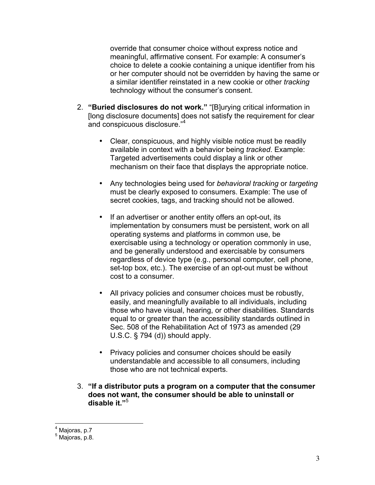override that consumer choice without express notice and meaningful, affirmative consent. For example: A consumer's choice to delete a cookie containing a unique identifier from his or her computer should not be overridden by having the same or a similar identifier reinstated in a new cookie or other *tracking* technology without the consumer's consent.

- 2. **"Buried disclosures do not work."** "[B]urying critical information in [long disclosure documents] does not satisfy the requirement for clear and conspicuous disclosure."<sup>4</sup>
	- Clear, conspicuous, and highly visible notice must be readily available in context with a behavior being *tracked*. Example: Targeted advertisements could display a link or other mechanism on their face that displays the appropriate notice.
	- Any technologies being used for *behavioral tracking* or *targeting* must be clearly exposed to consumers. Example: The use of secret cookies, tags, and tracking should not be allowed.
	- If an advertiser or another entity offers an opt-out, its implementation by consumers must be persistent, work on all operating systems and platforms in common use, be exercisable using a technology or operation commonly in use, and be generally understood and exercisable by consumers regardless of device type (e.g., personal computer, cell phone, set-top box, etc.). The exercise of an opt-out must be without cost to a consumer.
	- All privacy policies and consumer choices must be robustly, easily, and meaningfully available to all individuals, including those who have visual, hearing, or other disabilities. Standards equal to or greater than the accessibility standards outlined in Sec. 508 of the Rehabilitation Act of 1973 as amended (29 U.S.C. § 794 (d)) should apply.
	- Privacy policies and consumer choices should be easily understandable and accessible to all consumers, including those who are not technical experts.
- 3. **"If a distributor puts a program on a computer that the consumer does not want, the consumer should be able to uninstall or disable it."**<sup>5</sup>

4 Majoras, p.7

 $<sup>5</sup>$  Majoras, p.8.</sup>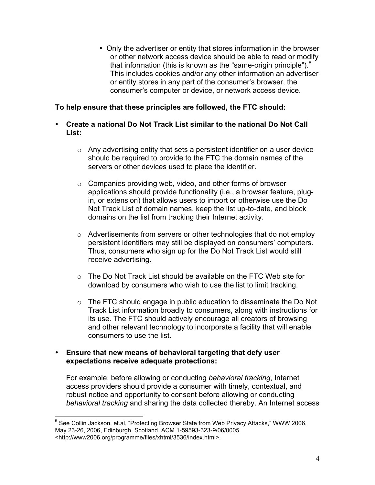• Only the advertiser or entity that stores information in the browser or other network access device should be able to read or modify that information (this is known as the "same-origin principle"). $<sup>6</sup>$ </sup> This includes cookies and/or any other information an advertiser or entity stores in any part of the consumer's browser, the consumer's computer or device, or network access device.

# **To help ensure that these principles are followed, the FTC should:**

- **Create a national Do Not Track List similar to the national Do Not Call List:**
	- $\circ$  Any advertising entity that sets a persistent identifier on a user device should be required to provide to the FTC the domain names of the servers or other devices used to place the identifier.
	- o Companies providing web, video, and other forms of browser applications should provide functionality (i.e., a browser feature, plugin, or extension) that allows users to import or otherwise use the Do Not Track List of domain names, keep the list up-to-date, and block domains on the list from tracking their Internet activity.
	- $\circ$  Advertisements from servers or other technologies that do not employ persistent identifiers may still be displayed on consumers' computers. Thus, consumers who sign up for the Do Not Track List would still receive advertising.
	- $\circ$  The Do Not Track List should be available on the FTC Web site for download by consumers who wish to use the list to limit tracking.
	- $\circ$  The FTC should engage in public education to disseminate the Do Not Track List information broadly to consumers, along with instructions for its use. The FTC should actively encourage all creators of browsing and other relevant technology to incorporate a facility that will enable consumers to use the list.

## • **Ensure that new means of behavioral targeting that defy user expectations receive adequate protections:**

For example, before allowing or conducting *behavioral tracking*, Internet access providers should provide a consumer with timely, contextual, and robust notice and opportunity to consent before allowing or conducting *behavioral tracking* and sharing the data collected thereby. An Internet access

6 See Collin Jackson, et.al, "Protecting Browser State from Web Privacy Attacks," WWW 2006, May 23-26, 2006, Edinburgh, Scotland. ACM 1-59593-323-9/06/0005. <http://www2006.org/programme/files/xhtml/3536/index.html>.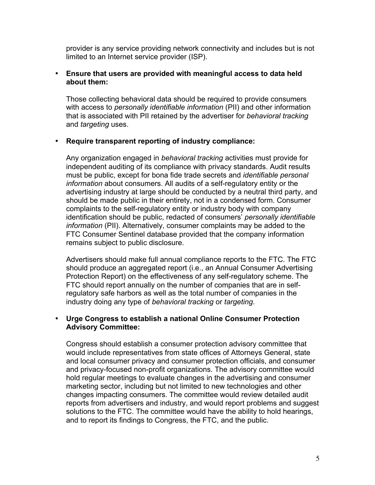provider is any service providing network connectivity and includes but is not limited to an Internet service provider (ISP).

## • **Ensure that users are provided with meaningful access to data held about them:**

Those collecting behavioral data should be required to provide consumers with access to *personally identifiable information* (PII) and other information that is associated with PII retained by the advertiser for *behavioral tracking* and *targeting* uses.

## • **Require transparent reporting of industry compliance:**

Any organization engaged in *behavioral tracking* activities must provide for independent auditing of its compliance with privacy standards. Audit results must be public, except for bona fide trade secrets and *identifiable personal information* about consumers. All audits of a self-regulatory entity or the advertising industry at large should be conducted by a neutral third party, and should be made public in their entirety, not in a condensed form. Consumer complaints to the self-regulatory entity or industry body with company identification should be public, redacted of consumers' *personally identifiable information* (PII). Alternatively, consumer complaints may be added to the FTC Consumer Sentinel database provided that the company information remains subject to public disclosure.

Advertisers should make full annual compliance reports to the FTC. The FTC should produce an aggregated report (i.e., an Annual Consumer Advertising Protection Report) on the effectiveness of any self-regulatory scheme. The FTC should report annually on the number of companies that are in selfregulatory safe harbors as well as the total number of companies in the industry doing any type of *behavioral tracking* or *targeting*.

## • **Urge Congress to establish a national Online Consumer Protection Advisory Committee:**

Congress should establish a consumer protection advisory committee that would include representatives from state offices of Attorneys General, state and local consumer privacy and consumer protection officials, and consumer and privacy-focused non-profit organizations. The advisory committee would hold regular meetings to evaluate changes in the advertising and consumer marketing sector, including but not limited to new technologies and other changes impacting consumers. The committee would review detailed audit reports from advertisers and industry, and would report problems and suggest solutions to the FTC. The committee would have the ability to hold hearings, and to report its findings to Congress, the FTC, and the public.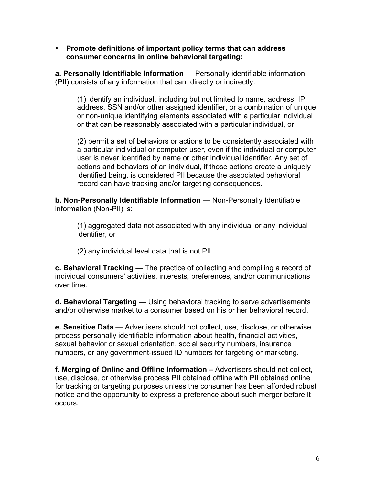• **Promote definitions of important policy terms that can address consumer concerns in online behavioral targeting:**

**a. Personally Identifiable Information** — Personally identifiable information (PII) consists of any information that can, directly or indirectly:

(1) identify an individual, including but not limited to name, address, IP address, SSN and/or other assigned identifier, or a combination of unique or non-unique identifying elements associated with a particular individual or that can be reasonably associated with a particular individual, or

(2) permit a set of behaviors or actions to be consistently associated with a particular individual or computer user, even if the individual or computer user is never identified by name or other individual identifier. Any set of actions and behaviors of an individual, if those actions create a uniquely identified being, is considered PII because the associated behavioral record can have tracking and/or targeting consequences.

**b. Non-Personally Identifiable Information** — Non-Personally Identifiable information (Non-PII) is:

(1) aggregated data not associated with any individual or any individual identifier, or

(2) any individual level data that is not PII.

**c. Behavioral Tracking** — The practice of collecting and compiling a record of individual consumers' activities, interests, preferences, and/or communications over time.

**d. Behavioral Targeting** — Using behavioral tracking to serve advertisements and/or otherwise market to a consumer based on his or her behavioral record.

**e. Sensitive Data** — Advertisers should not collect, use, disclose, or otherwise process personally identifiable information about health, financial activities, sexual behavior or sexual orientation, social security numbers, insurance numbers, or any government-issued ID numbers for targeting or marketing.

**f. Merging of Online and Offline Information –** Advertisers should not collect, use, disclose, or otherwise process PII obtained offline with PII obtained online for tracking or targeting purposes unless the consumer has been afforded robust notice and the opportunity to express a preference about such merger before it occurs.